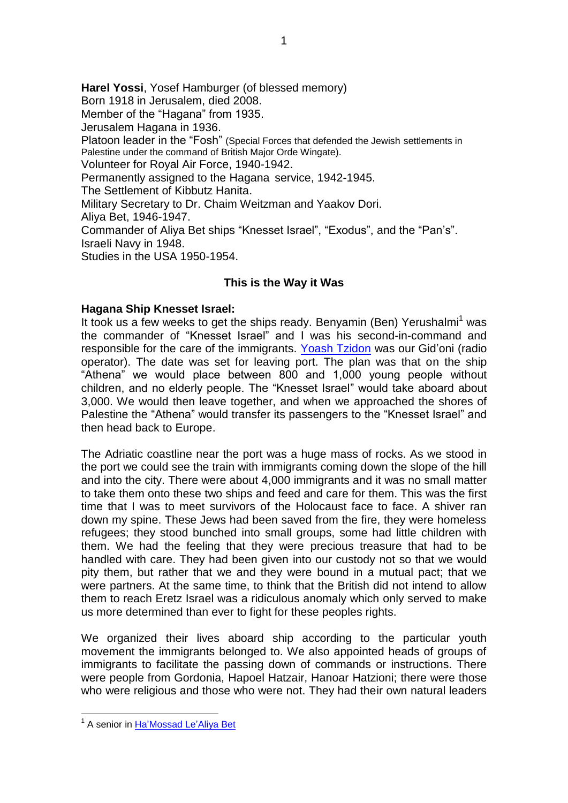**Harel Yossi**, Yosef Hamburger (of blessed memory) Born 1918 in Jerusalem, died 2008. Member of the "Hagana" from 1935. Jerusalem Hagana in 1936. Platoon leader in the "Fosh" (Special Forces that defended the Jewish settlements in Palestine under the command of British Major Orde Wingate). Volunteer for Royal Air Force, 1940-1942. Permanently assigned to the Hagana service, 1942-1945. The Settlement of Kibbutz Hanita. Military Secretary to Dr. Chaim Weitzman and Yaakov Dori. Aliya Bet, 1946-1947. Commander of Aliya Bet ships "Knesset Israel", "Exodus", and the "Pan"s". Israeli Navy in 1948. Studies in the USA 1950-1954.

## **This is the Way it Was**

## **Hagana Ship Knesset Israel:**

It took us a few weeks to get the ships ready. Benyamin (Ben) Yerushalmi<sup>1</sup> was the commander of "Knesset Israel" and I was his second-in-command and responsible for the care of the immigrants. [Yoash Tzidon](Tzidon_Yoash_Chatto) was our Gid'oni (radio operator). The date was set for leaving port. The plan was that on the ship "Athena" we would place between 800 and 1,000 young people without children, and no elderly people. The "Knesset Israel" would take aboard about 3,000. We would then leave together, and when we approached the shores of Palestine the "Athena" would transfer its passengers to the "Knesset Israel" and then head back to Europe.

The Adriatic coastline near the port was a huge mass of rocks. As we stood in the port we could see the train with immigrants coming down the slope of the hill and into the city. There were about 4,000 immigrants and it was no small matter to take them onto these two ships and feed and care for them. This was the first time that I was to meet survivors of the Holocaust face to face. A shiver ran down my spine. These Jews had been saved from the fire, they were homeless refugees; they stood bunched into small groups, some had little children with them. We had the feeling that they were precious treasure that had to be handled with care. They had been given into our custody not so that we would pity them, but rather that we and they were bound in a mutual pact; that we were partners. At the same time, to think that the British did not intend to allow them to reach Eretz Israel was a ridiculous anomaly which only served to make us more determined than ever to fight for these peoples rights.

We organized their lives aboard ship according to the particular youth movement the immigrants belonged to. We also appointed heads of groups of immigrants to facilitate the passing down of commands or instructions. There were people from Gordonia, Hapoel Hatzair, Hanoar Hatzioni; there were those who were religious and those who were not. They had their own natural leaders

<u>.</u>

<sup>&</sup>lt;sup>1</sup> A senior in Ha'Mossad Le'Aliya Bet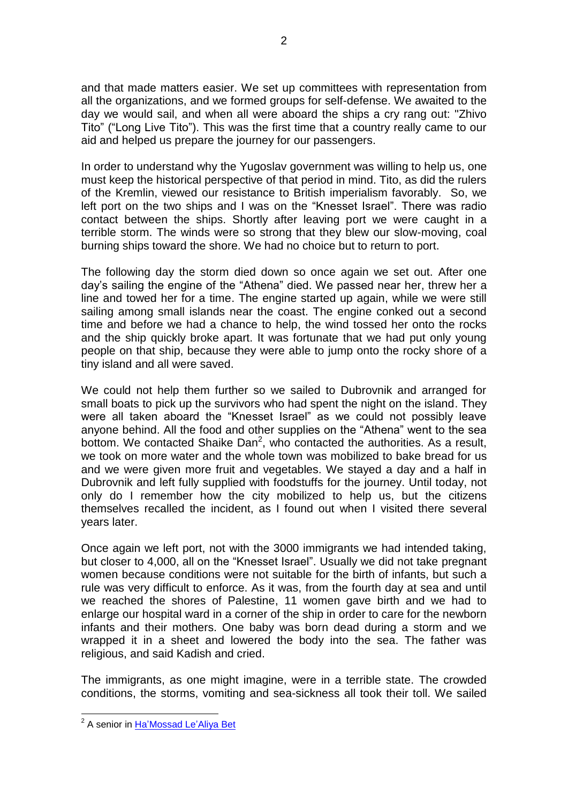and that made matters easier. We set up committees with representation from all the organizations, and we formed groups for self-defense. We awaited to the day we would sail, and when all were aboard the ships a cry rang out: "Zhivo Tito" ("Long Live Tito"). This was the first time that a country really came to our aid and helped us prepare the journey for our passengers.

In order to understand why the Yugoslav government was willing to help us, one must keep the historical perspective of that period in mind. Tito, as did the rulers of the Kremlin, viewed our resistance to British imperialism favorably. So, we left port on the two ships and I was on the "Knesset Israel". There was radio contact between the ships. Shortly after leaving port we were caught in a terrible storm. The winds were so strong that they blew our slow-moving, coal burning ships toward the shore. We had no choice but to return to port.

The following day the storm died down so once again we set out. After one day"s sailing the engine of the "Athena" died. We passed near her, threw her a line and towed her for a time. The engine started up again, while we were still sailing among small islands near the coast. The engine conked out a second time and before we had a chance to help, the wind tossed her onto the rocks and the ship quickly broke apart. It was fortunate that we had put only young people on that ship, because they were able to jump onto the rocky shore of a tiny island and all were saved.

We could not help them further so we sailed to Dubrovnik and arranged for small boats to pick up the survivors who had spent the night on the island. They were all taken aboard the "Knesset Israel" as we could not possibly leave anyone behind. All the food and other supplies on the "Athena" went to the sea bottom. We contacted Shaike Dan<sup>2</sup>, who contacted the authorities. As a result, we took on more water and the whole town was mobilized to bake bread for us and we were given more fruit and vegetables. We stayed a day and a half in Dubrovnik and left fully supplied with foodstuffs for the journey. Until today, not only do I remember how the city mobilized to help us, but the citizens themselves recalled the incident, as I found out when I visited there several years later.

Once again we left port, not with the 3000 immigrants we had intended taking, but closer to 4,000, all on the "Knesset Israel". Usually we did not take pregnant women because conditions were not suitable for the birth of infants, but such a rule was very difficult to enforce. As it was, from the fourth day at sea and until we reached the shores of Palestine, 11 women gave birth and we had to enlarge our hospital ward in a corner of the ship in order to care for the newborn infants and their mothers. One baby was born dead during a storm and we wrapped it in a sheet and lowered the body into the sea. The father was religious, and said Kadish and cried.

The immigrants, as one might imagine, were in a terrible state. The crowded conditions, the storms, vomiting and sea-sickness all took their toll. We sailed

 2 A senior in [Ha"Mossad Le"Aliya Bet](/English/HaMossad/mainpage)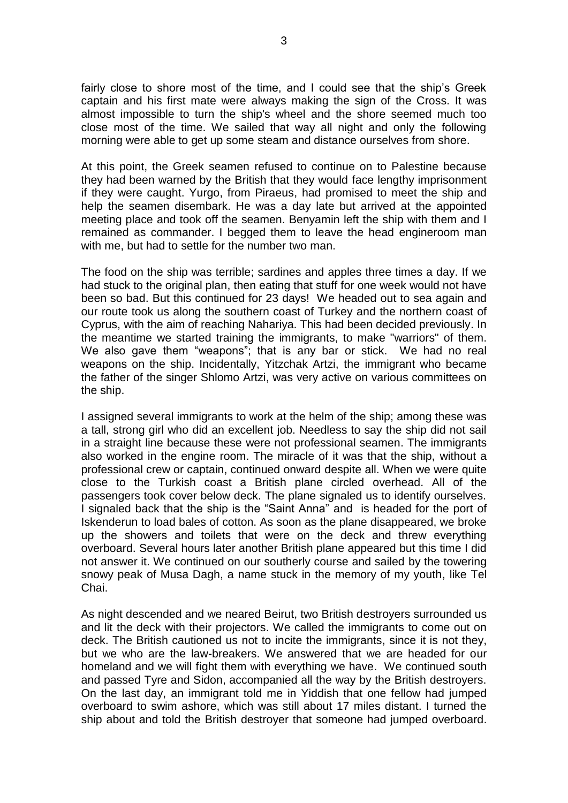fairly close to shore most of the time, and I could see that the ship"s Greek captain and his first mate were always making the sign of the Cross. It was almost impossible to turn the ship's wheel and the shore seemed much too close most of the time. We sailed that way all night and only the following morning were able to get up some steam and distance ourselves from shore.

At this point, the Greek seamen refused to continue on to Palestine because they had been warned by the British that they would face lengthy imprisonment if they were caught. Yurgo, from Piraeus, had promised to meet the ship and help the seamen disembark. He was a day late but arrived at the appointed meeting place and took off the seamen. Benyamin left the ship with them and I remained as commander. I begged them to leave the head engineroom man with me, but had to settle for the number two man.

The food on the ship was terrible; sardines and apples three times a day. If we had stuck to the original plan, then eating that stuff for one week would not have been so bad. But this continued for 23 days! We headed out to sea again and our route took us along the southern coast of Turkey and the northern coast of Cyprus, with the aim of reaching Nahariya. This had been decided previously. In the meantime we started training the immigrants, to make "warriors" of them. We also gave them "weapons"; that is any bar or stick. We had no real weapons on the ship. Incidentally, Yitzchak Artzi, the immigrant who became the father of the singer Shlomo Artzi, was very active on various committees on the ship.

I assigned several immigrants to work at the helm of the ship; among these was a tall, strong girl who did an excellent job. Needless to say the ship did not sail in a straight line because these were not professional seamen. The immigrants also worked in the engine room. The miracle of it was that the ship, without a professional crew or captain, continued onward despite all. When we were quite close to the Turkish coast a British plane circled overhead. All of the passengers took cover below deck. The plane signaled us to identify ourselves. I signaled back that the ship is the "Saint Anna" and is headed for the port of Iskenderun to load bales of cotton. As soon as the plane disappeared, we broke up the showers and toilets that were on the deck and threw everything overboard. Several hours later another British plane appeared but this time I did not answer it. We continued on our southerly course and sailed by the towering snowy peak of Musa Dagh, a name stuck in the memory of my youth, like Tel Chai.

As night descended and we neared Beirut, two British destroyers surrounded us and lit the deck with their projectors. We called the immigrants to come out on deck. The British cautioned us not to incite the immigrants, since it is not they, but we who are the law-breakers. We answered that we are headed for our homeland and we will fight them with everything we have. We continued south and passed Tyre and Sidon, accompanied all the way by the British destroyers. On the last day, an immigrant told me in Yiddish that one fellow had jumped overboard to swim ashore, which was still about 17 miles distant. I turned the ship about and told the British destroyer that someone had jumped overboard.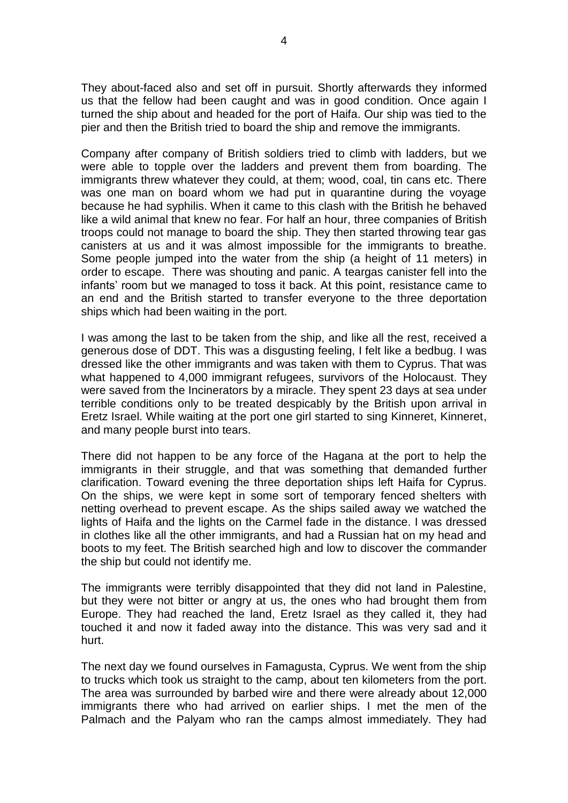They about-faced also and set off in pursuit. Shortly afterwards they informed us that the fellow had been caught and was in good condition. Once again I turned the ship about and headed for the port of Haifa. Our ship was tied to the pier and then the British tried to board the ship and remove the immigrants.

Company after company of British soldiers tried to climb with ladders, but we were able to topple over the ladders and prevent them from boarding. The immigrants threw whatever they could, at them; wood, coal, tin cans etc. There was one man on board whom we had put in quarantine during the voyage because he had syphilis. When it came to this clash with the British he behaved like a wild animal that knew no fear. For half an hour, three companies of British troops could not manage to board the ship. They then started throwing tear gas canisters at us and it was almost impossible for the immigrants to breathe. Some people jumped into the water from the ship (a height of 11 meters) in order to escape. There was shouting and panic. A teargas canister fell into the infants' room but we managed to toss it back. At this point, resistance came to an end and the British started to transfer everyone to the three deportation ships which had been waiting in the port.

I was among the last to be taken from the ship, and like all the rest, received a generous dose of DDT. This was a disgusting feeling, I felt like a bedbug. I was dressed like the other immigrants and was taken with them to Cyprus. That was what happened to 4,000 immigrant refugees, survivors of the Holocaust. They were saved from the Incinerators by a miracle. They spent 23 days at sea under terrible conditions only to be treated despicably by the British upon arrival in Eretz Israel. While waiting at the port one girl started to sing Kinneret, Kinneret, and many people burst into tears.

There did not happen to be any force of the Hagana at the port to help the immigrants in their struggle, and that was something that demanded further clarification. Toward evening the three deportation ships left Haifa for Cyprus. On the ships, we were kept in some sort of temporary fenced shelters with netting overhead to prevent escape. As the ships sailed away we watched the lights of Haifa and the lights on the Carmel fade in the distance. I was dressed in clothes like all the other immigrants, and had a Russian hat on my head and boots to my feet. The British searched high and low to discover the commander the ship but could not identify me.

The immigrants were terribly disappointed that they did not land in Palestine, but they were not bitter or angry at us, the ones who had brought them from Europe. They had reached the land, Eretz Israel as they called it, they had touched it and now it faded away into the distance. This was very sad and it hurt.

The next day we found ourselves in Famagusta, Cyprus. We went from the ship to trucks which took us straight to the camp, about ten kilometers from the port. The area was surrounded by barbed wire and there were already about 12,000 immigrants there who had arrived on earlier ships. I met the men of the Palmach and the Palyam who ran the camps almost immediately. They had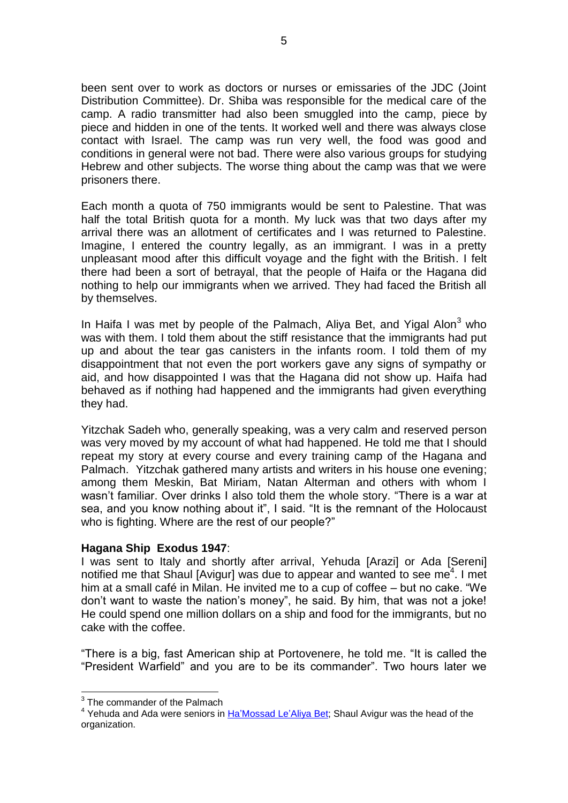been sent over to work as doctors or nurses or emissaries of the JDC (Joint Distribution Committee). Dr. Shiba was responsible for the medical care of the camp. A radio transmitter had also been smuggled into the camp, piece by piece and hidden in one of the tents. It worked well and there was always close contact with Israel. The camp was run very well, the food was good and conditions in general were not bad. There were also various groups for studying Hebrew and other subjects. The worse thing about the camp was that we were prisoners there.

Each month a quota of 750 immigrants would be sent to Palestine. That was half the total British quota for a month. My luck was that two days after my arrival there was an allotment of certificates and I was returned to Palestine. Imagine, I entered the country legally, as an immigrant. I was in a pretty unpleasant mood after this difficult voyage and the fight with the British. I felt there had been a sort of betrayal, that the people of Haifa or the Hagana did nothing to help our immigrants when we arrived. They had faced the British all by themselves.

In Haifa I was met by people of the Palmach, Aliya Bet, and Yigal Alon<sup>3</sup> who was with them. I told them about the stiff resistance that the immigrants had put up and about the tear gas canisters in the infants room. I told them of my disappointment that not even the port workers gave any signs of sympathy or aid, and how disappointed I was that the Hagana did not show up. Haifa had behaved as if nothing had happened and the immigrants had given everything they had.

Yitzchak Sadeh who, generally speaking, was a very calm and reserved person was very moved by my account of what had happened. He told me that I should repeat my story at every course and every training camp of the Hagana and Palmach. Yitzchak gathered many artists and writers in his house one evening; among them Meskin, Bat Miriam, Natan Alterman and others with whom I wasn't familiar. Over drinks I also told them the whole story. "There is a war at sea, and you know nothing about it", I said. "It is the remnant of the Holocaust who is fighting. Where are the rest of our people?"

## **Hagana Ship Exodus 1947**:

I was sent to Italy and shortly after arrival, Yehuda [Arazi] or Ada [Sereni] notified me that Shaul [Avigur] was due to appear and wanted to see me $4$ . I met him at a small café in Milan. He invited me to a cup of coffee – but no cake. "We don"t want to waste the nation"s money", he said. By him, that was not a joke! He could spend one million dollars on a ship and food for the immigrants, but no cake with the coffee.

"There is a big, fast American ship at Portovenere, he told me. "It is called the "President Warfield" and you are to be its commander". Two hours later we

1

 $3$  The commander of the Palmach

<sup>&</sup>lt;sup>4</sup> Yehuda and Ada were seniors in Ha'Mossad Le'Aliya Bet; Shaul Avigur was the head of the organization.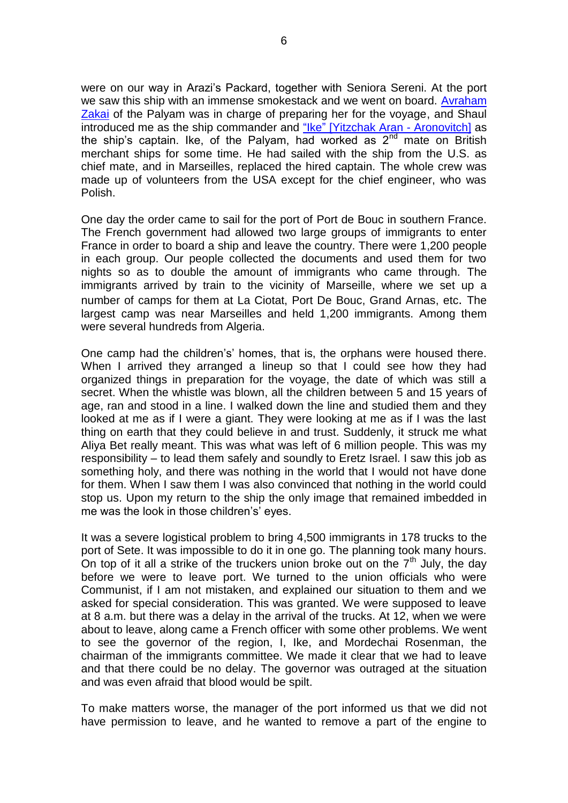were on our way in Arazi"s Packard, together with Seniora Sereni. At the port we saw this ship with an immense smokestack and we went on board. [Avraham](Zakai_Avraham)  [Zakai](Zakai_Avraham) of the Palyam was in charge of preparing her for the voyage, and Shaul introduced me as the ship commander and "Ike" [\[Yitzchak Aran -](Aran_Yitzchak_Ike) Aronovitch] as the ship's captain. Ike, of the Palyam, had worked as  $2<sup>nd</sup>$  mate on British merchant ships for some time. He had sailed with the ship from the U.S. as chief mate, and in Marseilles, replaced the hired captain. The whole crew was made up of volunteers from the USA except for the chief engineer, who was Polish.

One day the order came to sail for the port of Port de Bouc in southern France. The French government had allowed two large groups of immigrants to enter France in order to board a ship and leave the country. There were 1,200 people in each group. Our people collected the documents and used them for two nights so as to double the amount of immigrants who came through. The immigrants arrived by train to the vicinity of Marseille, where we set up a number of camps for them at La Ciotat, Port De Bouc, Grand Arnas, etc. The largest camp was near Marseilles and held 1,200 immigrants. Among them were several hundreds from Algeria.

One camp had the children's' homes, that is, the orphans were housed there. When I arrived they arranged a lineup so that I could see how they had organized things in preparation for the voyage, the date of which was still a secret. When the whistle was blown, all the children between 5 and 15 years of age, ran and stood in a line. I walked down the line and studied them and they looked at me as if I were a giant. They were looking at me as if I was the last thing on earth that they could believe in and trust. Suddenly, it struck me what Aliya Bet really meant. This was what was left of 6 million people. This was my responsibility – to lead them safely and soundly to Eretz Israel. I saw this job as something holy, and there was nothing in the world that I would not have done for them. When I saw them I was also convinced that nothing in the world could stop us. Upon my return to the ship the only image that remained imbedded in me was the look in those children's' eyes.

It was a severe logistical problem to bring 4,500 immigrants in 178 trucks to the port of Sete. It was impossible to do it in one go. The planning took many hours. On top of it all a strike of the truckers union broke out on the  $7<sup>th</sup>$  July, the day before we were to leave port. We turned to the union officials who were Communist, if I am not mistaken, and explained our situation to them and we asked for special consideration. This was granted. We were supposed to leave at 8 a.m. but there was a delay in the arrival of the trucks. At 12, when we were about to leave, along came a French officer with some other problems. We went to see the governor of the region, I, Ike, and Mordechai Rosenman, the chairman of the immigrants committee. We made it clear that we had to leave and that there could be no delay. The governor was outraged at the situation and was even afraid that blood would be spilt.

To make matters worse, the manager of the port informed us that we did not have permission to leave, and he wanted to remove a part of the engine to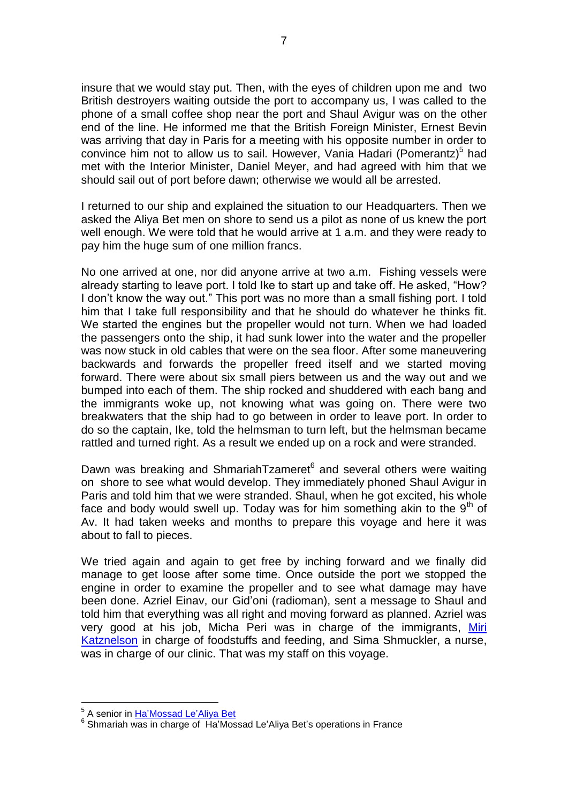insure that we would stay put. Then, with the eyes of children upon me and two British destroyers waiting outside the port to accompany us, I was called to the phone of a small coffee shop near the port and Shaul Avigur was on the other end of the line. He informed me that the British Foreign Minister, Ernest Bevin was arriving that day in Paris for a meeting with his opposite number in order to convince him not to allow us to sail. However, Vania Hadari (Pomerantz)<sup>5</sup> had met with the Interior Minister, Daniel Meyer, and had agreed with him that we should sail out of port before dawn; otherwise we would all be arrested.

I returned to our ship and explained the situation to our Headquarters. Then we asked the Aliya Bet men on shore to send us a pilot as none of us knew the port well enough. We were told that he would arrive at 1 a.m. and they were ready to pay him the huge sum of one million francs.

No one arrived at one, nor did anyone arrive at two a.m. Fishing vessels were already starting to leave port. I told Ike to start up and take off. He asked, "How? I don"t know the way out." This port was no more than a small fishing port. I told him that I take full responsibility and that he should do whatever he thinks fit. We started the engines but the propeller would not turn. When we had loaded the passengers onto the ship, it had sunk lower into the water and the propeller was now stuck in old cables that were on the sea floor. After some maneuvering backwards and forwards the propeller freed itself and we started moving forward. There were about six small piers between us and the way out and we bumped into each of them. The ship rocked and shuddered with each bang and the immigrants woke up, not knowing what was going on. There were two breakwaters that the ship had to go between in order to leave port. In order to do so the captain, Ike, told the helmsman to turn left, but the helmsman became rattled and turned right. As a result we ended up on a rock and were stranded.

Dawn was breaking and ShmariahTzameret<sup>6</sup> and several others were waiting on shore to see what would develop. They immediately phoned Shaul Avigur in Paris and told him that we were stranded. Shaul, when he got excited, his whole face and body would swell up. Today was for him something akin to the  $9<sup>th</sup>$  of Av. It had taken weeks and months to prepare this voyage and here it was about to fall to pieces.

We tried again and again to get free by inching forward and we finally did manage to get loose after some time. Once outside the port we stopped the engine in order to examine the propeller and to see what damage may have been done. Azriel Einav, our Gid"oni (radioman), sent a message to Shaul and told him that everything was all right and moving forward as planned. Azriel was very good at his job, Micha Peri was in charge of the immigrants, [Miri](Katznelson_Tzvi_Miri)  [Katznelson](Katznelson_Tzvi_Miri) in charge of foodstuffs and feeding, and Sima Shmuckler, a nurse, was in charge of our clinic. That was my staff on this voyage.

1

<sup>&</sup>lt;sup>5</sup> A senior in <u>Ha'Mossad Le'Aliya Bet</u>

<sup>&</sup>lt;sup>6</sup> Shmariah was in charge of Ha'Mossad Le'Aliya Bet's operations in France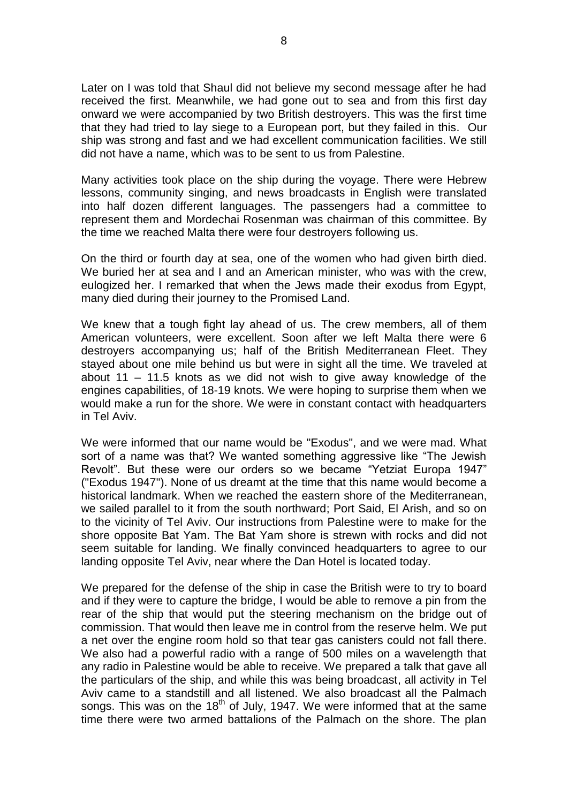Later on I was told that Shaul did not believe my second message after he had received the first. Meanwhile, we had gone out to sea and from this first day onward we were accompanied by two British destroyers. This was the first time that they had tried to lay siege to a European port, but they failed in this. Our ship was strong and fast and we had excellent communication facilities. We still did not have a name, which was to be sent to us from Palestine.

Many activities took place on the ship during the voyage. There were Hebrew lessons, community singing, and news broadcasts in English were translated into half dozen different languages. The passengers had a committee to represent them and Mordechai Rosenman was chairman of this committee. By the time we reached Malta there were four destroyers following us.

On the third or fourth day at sea, one of the women who had given birth died. We buried her at sea and I and an American minister, who was with the crew, eulogized her. I remarked that when the Jews made their exodus from Egypt, many died during their journey to the Promised Land.

We knew that a tough fight lay ahead of us. The crew members, all of them American volunteers, were excellent. Soon after we left Malta there were 6 destroyers accompanying us; half of the British Mediterranean Fleet. They stayed about one mile behind us but were in sight all the time. We traveled at about 11 – 11.5 knots as we did not wish to give away knowledge of the engines capabilities, of 18-19 knots. We were hoping to surprise them when we would make a run for the shore. We were in constant contact with headquarters in Tel Aviv.

We were informed that our name would be "Exodus", and we were mad. What sort of a name was that? We wanted something aggressive like "The Jewish Revolt". But these were our orders so we became "Yetziat Europa 1947" ("Exodus 1947"). None of us dreamt at the time that this name would become a historical landmark. When we reached the eastern shore of the Mediterranean, we sailed parallel to it from the south northward; Port Said, El Arish, and so on to the vicinity of Tel Aviv. Our instructions from Palestine were to make for the shore opposite Bat Yam. The Bat Yam shore is strewn with rocks and did not seem suitable for landing. We finally convinced headquarters to agree to our landing opposite Tel Aviv, near where the Dan Hotel is located today.

We prepared for the defense of the ship in case the British were to try to board and if they were to capture the bridge, I would be able to remove a pin from the rear of the ship that would put the steering mechanism on the bridge out of commission. That would then leave me in control from the reserve helm. We put a net over the engine room hold so that tear gas canisters could not fall there. We also had a powerful radio with a range of 500 miles on a wavelength that any radio in Palestine would be able to receive. We prepared a talk that gave all the particulars of the ship, and while this was being broadcast, all activity in Tel Aviv came to a standstill and all listened. We also broadcast all the Palmach songs. This was on the  $18<sup>th</sup>$  of July, 1947. We were informed that at the same time there were two armed battalions of the Palmach on the shore. The plan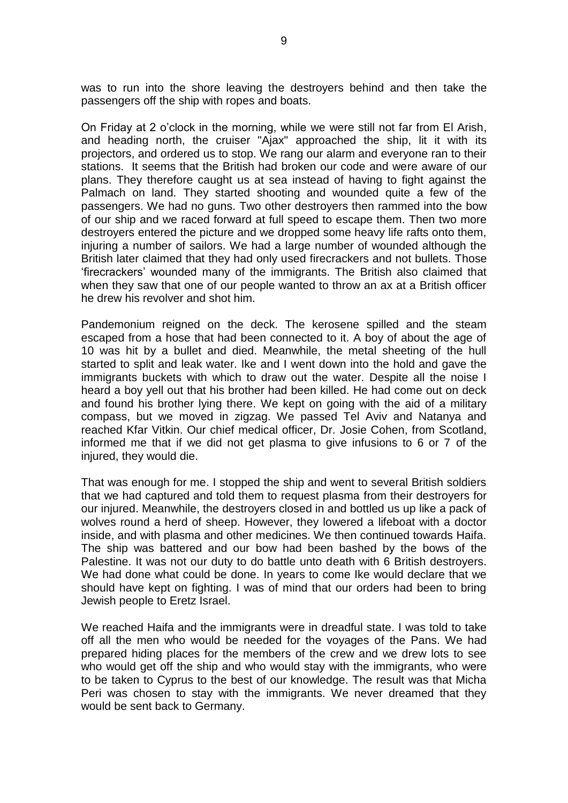was to run into the shore leaving the destroyers behind and then take the passengers off the ship with ropes and boats.

On Friday at 2 o"clock in the morning, while we were still not far from El Arish, and heading north, the cruiser "Ajax" approached the ship, lit it with its projectors, and ordered us to stop. We rang our alarm and everyone ran to their stations. It seems that the British had broken our code and were aware of our plans. They therefore caught us at sea instead of having to fight against the Palmach on land. They started shooting and wounded quite a few of the passengers. We had no guns. Two other destroyers then rammed into the bow of our ship and we raced forward at full speed to escape them. Then two more destroyers entered the picture and we dropped some heavy life rafts onto them, injuring a number of sailors. We had a large number of wounded although the British later claimed that they had only used firecrackers and not bullets. Those "firecrackers" wounded many of the immigrants. The British also claimed that when they saw that one of our people wanted to throw an ax at a British officer he drew his revolver and shot him.

Pandemonium reigned on the deck. The kerosene spilled and the steam escaped from a hose that had been connected to it. A boy of about the age of 10 was hit by a bullet and died. Meanwhile, the metal sheeting of the hull started to split and leak water. Ike and I went down into the hold and gave the immigrants buckets with which to draw out the water. Despite all the noise I heard a boy yell out that his brother had been killed. He had come out on deck and found his brother lying there. We kept on going with the aid of a military compass, but we moved in zigzag. We passed Tel Aviv and Natanya and reached Kfar Vitkin. Our chief medical officer, Dr. Josie Cohen, from Scotland, informed me that if we did not get plasma to give infusions to 6 or 7 of the injured, they would die.

That was enough for me. I stopped the ship and went to several British soldiers that we had captured and told them to request plasma from their destroyers for our injured. Meanwhile, the destroyers closed in and bottled us up like a pack of wolves round a herd of sheep. However, they lowered a lifeboat with a doctor inside, and with plasma and other medicines. We then continued towards Haifa. The ship was battered and our bow had been bashed by the bows of the Palestine. It was not our duty to do battle unto death with 6 British destroyers. We had done what could be done. In years to come Ike would declare that we should have kept on fighting. I was of mind that our orders had been to bring Jewish people to Eretz Israel.

We reached Haifa and the immigrants were in dreadful state. I was told to take off all the men who would be needed for the voyages of the Pans. We had prepared hiding places for the members of the crew and we drew lots to see who would get off the ship and who would stay with the immigrants, who were to be taken to Cyprus to the best of our knowledge. The result was that Micha Peri was chosen to stay with the immigrants. We never dreamed that they would be sent back to Germany.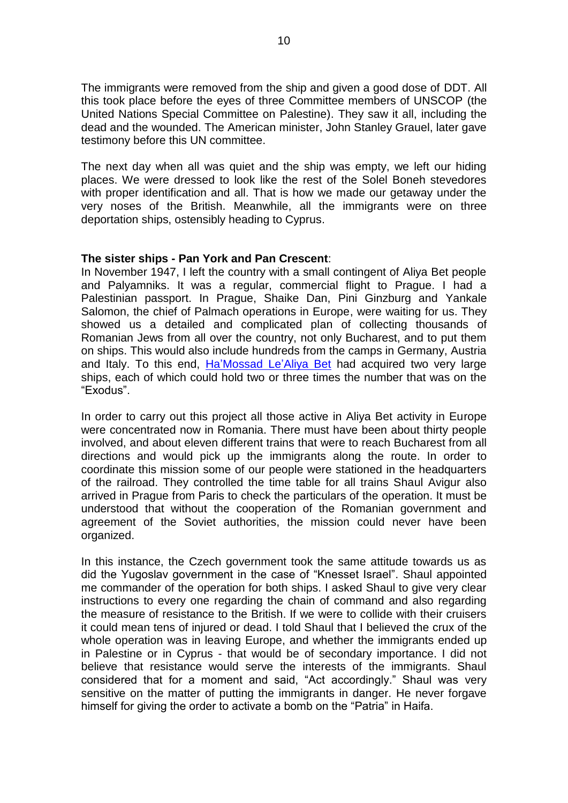The immigrants were removed from the ship and given a good dose of DDT. All this took place before the eyes of three Committee members of UNSCOP (the United Nations Special Committee on Palestine). They saw it all, including the dead and the wounded. The American minister, John Stanley Grauel, later gave testimony before this UN committee.

The next day when all was quiet and the ship was empty, we left our hiding places. We were dressed to look like the rest of the Solel Boneh stevedores with proper identification and all. That is how we made our getaway under the very noses of the British. Meanwhile, all the immigrants were on three deportation ships, ostensibly heading to Cyprus.

## **The sister ships - Pan York and Pan Crescent**:

In November 1947, I left the country with a small contingent of Aliya Bet people and Palyamniks. It was a regular, commercial flight to Prague. I had a Palestinian passport. In Prague, Shaike Dan, Pini Ginzburg and Yankale Salomon, the chief of Palmach operations in Europe, were waiting for us. They showed us a detailed and complicated plan of collecting thousands of Romanian Jews from all over the country, not only Bucharest, and to put them on ships. This would also include hundreds from the camps in Germany, Austria and Italy. To this end, Ha'Mossad Le'Aliya Bet had acquired two very large ships, each of which could hold two or three times the number that was on the "Exodus".

In order to carry out this project all those active in Aliya Bet activity in Europe were concentrated now in Romania. There must have been about thirty people involved, and about eleven different trains that were to reach Bucharest from all directions and would pick up the immigrants along the route. In order to coordinate this mission some of our people were stationed in the headquarters of the railroad. They controlled the time table for all trains Shaul Avigur also arrived in Prague from Paris to check the particulars of the operation. It must be understood that without the cooperation of the Romanian government and agreement of the Soviet authorities, the mission could never have been organized.

In this instance, the Czech government took the same attitude towards us as did the Yugoslav government in the case of "Knesset Israel". Shaul appointed me commander of the operation for both ships. I asked Shaul to give very clear instructions to every one regarding the chain of command and also regarding the measure of resistance to the British. If we were to collide with their cruisers it could mean tens of injured or dead. I told Shaul that I believed the crux of the whole operation was in leaving Europe, and whether the immigrants ended up in Palestine or in Cyprus - that would be of secondary importance. I did not believe that resistance would serve the interests of the immigrants. Shaul considered that for a moment and said, "Act accordingly." Shaul was very sensitive on the matter of putting the immigrants in danger. He never forgave himself for giving the order to activate a bomb on the "Patria" in Haifa.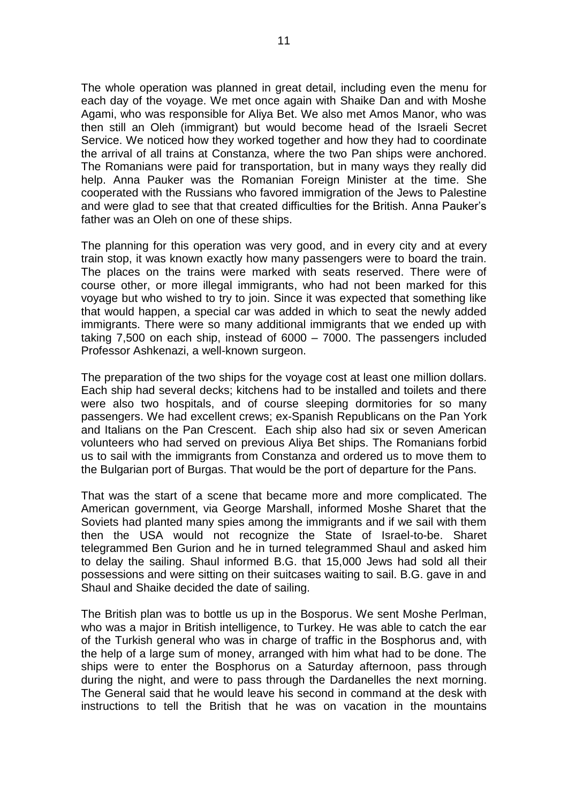The whole operation was planned in great detail, including even the menu for each day of the voyage. We met once again with Shaike Dan and with Moshe Agami, who was responsible for Aliya Bet. We also met Amos Manor, who was then still an Oleh (immigrant) but would become head of the Israeli Secret Service. We noticed how they worked together and how they had to coordinate the arrival of all trains at Constanza, where the two Pan ships were anchored. The Romanians were paid for transportation, but in many ways they really did help. Anna Pauker was the Romanian Foreign Minister at the time. She cooperated with the Russians who favored immigration of the Jews to Palestine and were glad to see that that created difficulties for the British. Anna Pauker"s father was an Oleh on one of these ships.

The planning for this operation was very good, and in every city and at every train stop, it was known exactly how many passengers were to board the train. The places on the trains were marked with seats reserved. There were of course other, or more illegal immigrants, who had not been marked for this voyage but who wished to try to join. Since it was expected that something like that would happen, a special car was added in which to seat the newly added immigrants. There were so many additional immigrants that we ended up with taking 7,500 on each ship, instead of 6000 – 7000. The passengers included Professor Ashkenazi, a well-known surgeon.

The preparation of the two ships for the voyage cost at least one million dollars. Each ship had several decks; kitchens had to be installed and toilets and there were also two hospitals, and of course sleeping dormitories for so many passengers. We had excellent crews; ex-Spanish Republicans on the Pan York and Italians on the Pan Crescent. Each ship also had six or seven American volunteers who had served on previous Aliya Bet ships. The Romanians forbid us to sail with the immigrants from Constanza and ordered us to move them to the Bulgarian port of Burgas. That would be the port of departure for the Pans.

That was the start of a scene that became more and more complicated. The American government, via George Marshall, informed Moshe Sharet that the Soviets had planted many spies among the immigrants and if we sail with them then the USA would not recognize the State of Israel-to-be. Sharet telegrammed Ben Gurion and he in turned telegrammed Shaul and asked him to delay the sailing. Shaul informed B.G. that 15,000 Jews had sold all their possessions and were sitting on their suitcases waiting to sail. B.G. gave in and Shaul and Shaike decided the date of sailing.

The British plan was to bottle us up in the Bosporus. We sent Moshe Perlman, who was a major in British intelligence, to Turkey. He was able to catch the ear of the Turkish general who was in charge of traffic in the Bosphorus and, with the help of a large sum of money, arranged with him what had to be done. The ships were to enter the Bosphorus on a Saturday afternoon, pass through during the night, and were to pass through the Dardanelles the next morning. The General said that he would leave his second in command at the desk with instructions to tell the British that he was on vacation in the mountains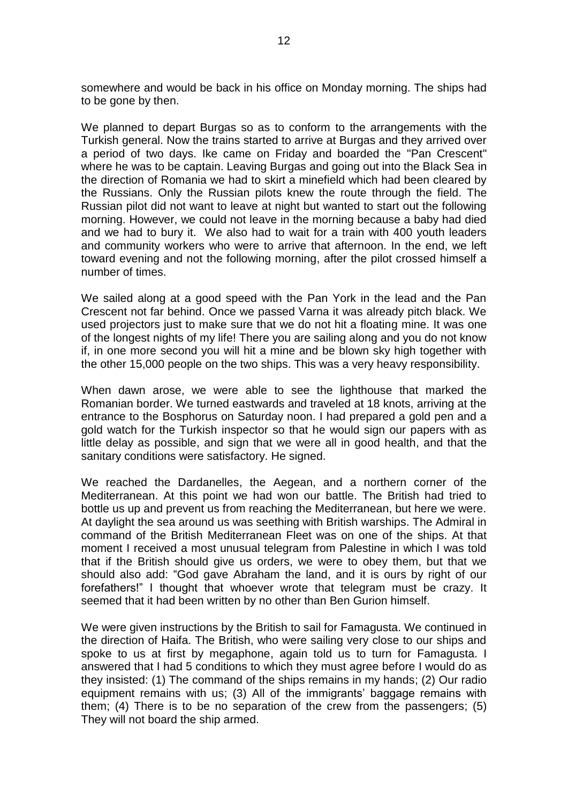somewhere and would be back in his office on Monday morning. The ships had to be gone by then.

We planned to depart Burgas so as to conform to the arrangements with the Turkish general. Now the trains started to arrive at Burgas and they arrived over a period of two days. Ike came on Friday and boarded the "Pan Crescent" where he was to be captain. Leaving Burgas and going out into the Black Sea in the direction of Romania we had to skirt a minefield which had been cleared by the Russians. Only the Russian pilots knew the route through the field. The Russian pilot did not want to leave at night but wanted to start out the following morning. However, we could not leave in the morning because a baby had died and we had to bury it. We also had to wait for a train with 400 youth leaders and community workers who were to arrive that afternoon. In the end, we left toward evening and not the following morning, after the pilot crossed himself a number of times.

We sailed along at a good speed with the Pan York in the lead and the Pan Crescent not far behind. Once we passed Varna it was already pitch black. We used projectors just to make sure that we do not hit a floating mine. It was one of the longest nights of my life! There you are sailing along and you do not know if, in one more second you will hit a mine and be blown sky high together with the other 15,000 people on the two ships. This was a very heavy responsibility.

When dawn arose, we were able to see the lighthouse that marked the Romanian border. We turned eastwards and traveled at 18 knots, arriving at the entrance to the Bosphorus on Saturday noon. I had prepared a gold pen and a gold watch for the Turkish inspector so that he would sign our papers with as little delay as possible, and sign that we were all in good health, and that the sanitary conditions were satisfactory. He signed.

We reached the Dardanelles, the Aegean, and a northern corner of the Mediterranean. At this point we had won our battle. The British had tried to bottle us up and prevent us from reaching the Mediterranean, but here we were. At daylight the sea around us was seething with British warships. The Admiral in command of the British Mediterranean Fleet was on one of the ships. At that moment I received a most unusual telegram from Palestine in which I was told that if the British should give us orders, we were to obey them, but that we should also add: "God gave Abraham the land, and it is ours by right of our forefathers!" I thought that whoever wrote that telegram must be crazy. It seemed that it had been written by no other than Ben Gurion himself.

We were given instructions by the British to sail for Famagusta. We continued in the direction of Haifa. The British, who were sailing very close to our ships and spoke to us at first by megaphone, again told us to turn for Famagusta. I answered that I had 5 conditions to which they must agree before I would do as they insisted: (1) The command of the ships remains in my hands; (2) Our radio equipment remains with us; (3) All of the immigrants' baggage remains with them; (4) There is to be no separation of the crew from the passengers; (5) They will not board the ship armed.